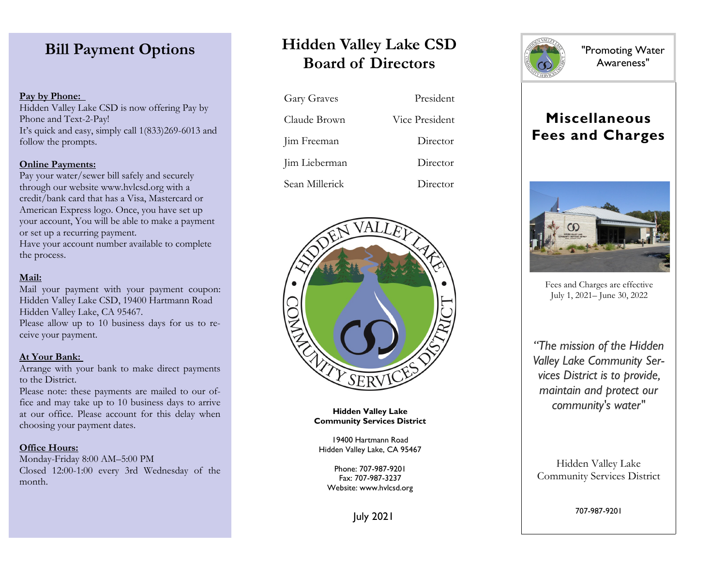# **Bill Payment Options**

# **Pay by Phone:**

Hidden Valley Lake CSD is now offering Pay by Phone and Text-2-Pay! It's quick and easy, simply call 1(833)269-6013 and follow the prompts.

## **Online Payments:**

Pay your water/sewer bill safely and securely through our website www.hvlcsd.org with a credit/bank card that has a Visa, Mastercard or American Express logo. Once, you have set up your account, You will be able to make a payment or set up a recurring payment. Have your account number available to complete the process.

# **Mail:**

Mail your payment with your payment coupon: Hidden Valley Lake CSD, 19400 Hartmann Road Hidden Valley Lake, CA 95467. Please allow up to 10 business days for us to receive your payment.

### **At Your Bank:**

Arrange with your bank to make direct payments to the District.

Please note: these payments are mailed to our office and may take up to 10 business days to arrive at our office. Please account for this delay when choosing your payment dates.

### **Office Hours:**

Monday-Friday 8:00 AM–5:00 PM Closed 12:00-1:00 every 3rd Wednesday of the month.

# **Hidden Valley Lake CSD Board of Directors**

| <b>Gary Graves</b> | President      |
|--------------------|----------------|
| Claude Brown       | Vice President |
| Jim Freeman        | Director       |
| Jim Lieberman      | Director       |
| Sean Millerick     | Director       |



**Hidden Valley Lake Community Services District**

19400 Hartmann Road Hidden Valley Lake, CA 95467

Phone: 707-987-9201 Fax: 707-987-3237 Website: www.hvlcsd.org



"Promoting Water Awareness"

# **Miscellaneous Fees and Charges**



Fees and Charges are effective July 1, 2021– June 30, 2022

*"The mission of the Hidden Valley Lake Community Services District is to provide, maintain and protect our community's water"*

Hidden Valley Lake Community Services District

707-987-9201

July 2021